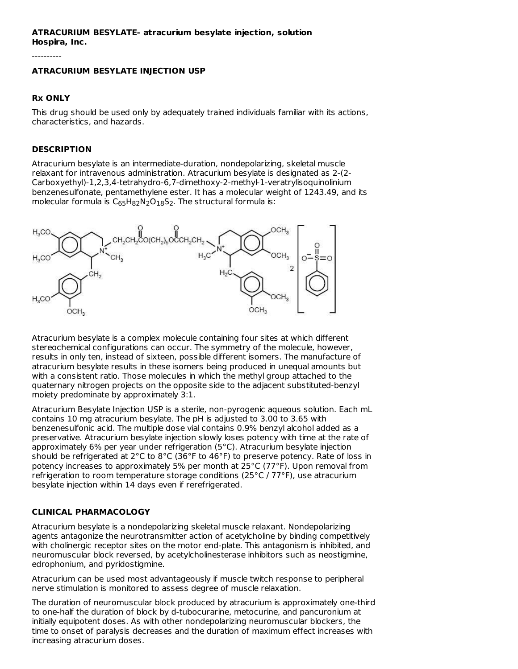## **ATRACURIUM BESYLATE- atracurium besylate injection, solution Hospira, Inc.**

----------

#### **ATRACURIUM BESYLATE INJECTION USP**

#### **Rx ONLY**

This drug should be used only by adequately trained individuals familiar with its actions, characteristics, and hazards.

#### **DESCRIPTION**

Atracurium besylate is an intermediate-duration, nondepolarizing, skeletal muscle relaxant for intravenous administration. Atracurium besylate is designated as 2-(2- Carboxyethyl)-1,2,3,4-tetrahydro-6,7-dimethoxy-2-methyl-1-veratrylisoquinolinium benzenesulfonate, pentamethylene ester. It has a molecular weight of 1243.49, and its molecular formula is  $\mathsf{C}_{65}\mathsf{H}_{82}\mathsf{N}_{2}\mathsf{O}_{18}\mathsf{S}_{2}.$  The structural formula is:



Atracurium besylate is a complex molecule containing four sites at which different stereochemical configurations can occur. The symmetry of the molecule, however, results in only ten, instead of sixteen, possible different isomers. The manufacture of atracurium besylate results in these isomers being produced in unequal amounts but with a consistent ratio. Those molecules in which the methyl group attached to the quaternary nitrogen projects on the opposite side to the adjacent substituted-benzyl moiety predominate by approximately 3:1.

Atracurium Besylate Injection USP is a sterile, non-pyrogenic aqueous solution. Each mL contains 10 mg atracurium besylate. The pH is adjusted to 3.00 to 3.65 with benzenesulfonic acid. The multiple dose vial contains 0.9% benzyl alcohol added as a preservative. Atracurium besylate injection slowly loses potency with time at the rate of approximately 6% per year under refrigeration (5°C). Atracurium besylate injection should be refrigerated at 2°C to 8°C (36°F to 46°F) to preserve potency. Rate of loss in potency increases to approximately 5% per month at 25°C (77°F). Upon removal from refrigeration to room temperature storage conditions (25°C / 77°F), use atracurium besylate injection within 14 days even if rerefrigerated.

#### **CLINICAL PHARMACOLOGY**

Atracurium besylate is a nondepolarizing skeletal muscle relaxant. Nondepolarizing agents antagonize the neurotransmitter action of acetylcholine by binding competitively with cholinergic receptor sites on the motor end-plate. This antagonism is inhibited, and neuromuscular block reversed, by acetylcholinesterase inhibitors such as neostigmine, edrophonium, and pyridostigmine.

Atracurium can be used most advantageously if muscle twitch response to peripheral nerve stimulation is monitored to assess degree of muscle relaxation.

The duration of neuromuscular block produced by atracurium is approximately one-third to one-half the duration of block by d-tubocurarine, metocurine, and pancuronium at initially equipotent doses. As with other nondepolarizing neuromuscular blockers, the time to onset of paralysis decreases and the duration of maximum effect increases with increasing atracurium doses.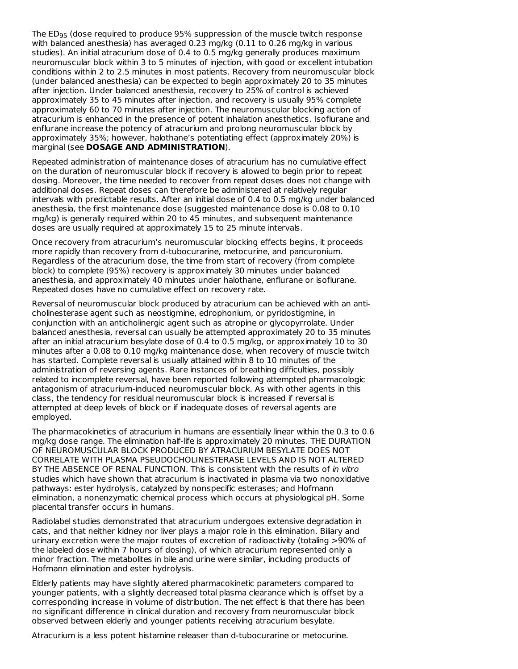The ED $_{95}$  (dose required to produce 95% suppression of the muscle twitch response with balanced anesthesia) has averaged 0.23 mg/kg (0.11 to 0.26 mg/kg in various studies). An initial atracurium dose of 0.4 to 0.5 mg/kg generally produces maximum neuromuscular block within 3 to 5 minutes of injection, with good or excellent intubation conditions within 2 to 2.5 minutes in most patients. Recovery from neuromuscular block (under balanced anesthesia) can be expected to begin approximately 20 to 35 minutes after injection. Under balanced anesthesia, recovery to 25% of control is achieved approximately 35 to 45 minutes after injection, and recovery is usually 95% complete approximately 60 to 70 minutes after injection. The neuromuscular blocking action of atracurium is enhanced in the presence of potent inhalation anesthetics. Isoflurane and enflurane increase the potency of atracurium and prolong neuromuscular block by approximately 35%; however, halothane's potentiating effect (approximately 20%) is marginal (see **DOSAGE AND ADMINISTRATION**).

Repeated administration of maintenance doses of atracurium has no cumulative effect on the duration of neuromuscular block if recovery is allowed to begin prior to repeat dosing. Moreover, the time needed to recover from repeat doses does not change with additional doses. Repeat doses can therefore be administered at relatively regular intervals with predictable results. After an initial dose of 0.4 to 0.5 mg/kg under balanced anesthesia, the first maintenance dose (suggested maintenance dose is 0.08 to 0.10 mg/kg) is generally required within 20 to 45 minutes, and subsequent maintenance doses are usually required at approximately 15 to 25 minute intervals.

Once recovery from atracurium's neuromuscular blocking effects begins, it proceeds more rapidly than recovery from d-tubocurarine, metocurine, and pancuronium. Regardless of the atracurium dose, the time from start of recovery (from complete block) to complete (95%) recovery is approximately 30 minutes under balanced anesthesia, and approximately 40 minutes under halothane, enflurane or isoflurane. Repeated doses have no cumulative effect on recovery rate.

Reversal of neuromuscular block produced by atracurium can be achieved with an anticholinesterase agent such as neostigmine, edrophonium, or pyridostigmine, in conjunction with an anticholinergic agent such as atropine or glycopyrrolate. Under balanced anesthesia, reversal can usually be attempted approximately 20 to 35 minutes after an initial atracurium besylate dose of 0.4 to 0.5 mg/kg, or approximately 10 to 30 minutes after a 0.08 to 0.10 mg/kg maintenance dose, when recovery of muscle twitch has started. Complete reversal is usually attained within 8 to 10 minutes of the administration of reversing agents. Rare instances of breathing difficulties, possibly related to incomplete reversal, have been reported following attempted pharmacologic antagonism of atracurium-induced neuromuscular block. As with other agents in this class, the tendency for residual neuromuscular block is increased if reversal is attempted at deep levels of block or if inadequate doses of reversal agents are employed.

The pharmacokinetics of atracurium in humans are essentially linear within the 0.3 to 0.6 mg/kg dose range. The elimination half-life is approximately 20 minutes. THE DURATION OF NEUROMUSCULAR BLOCK PRODUCED BY ATRACURIUM BESYLATE DOES NOT CORRELATE WITH PLASMA PSEUDOCHOLINESTERASE LEVELS AND IS NOT ALTERED BY THE ABSENCE OF RENAL FUNCTION. This is consistent with the results of in vitro studies which have shown that atracurium is inactivated in plasma via two nonoxidative pathways: ester hydrolysis, catalyzed by nonspecific esterases; and Hofmann elimination, a nonenzymatic chemical process which occurs at physiological pH. Some placental transfer occurs in humans.

Radiolabel studies demonstrated that atracurium undergoes extensive degradation in cats, and that neither kidney nor liver plays a major role in this elimination. Biliary and urinary excretion were the major routes of excretion of radioactivity (totaling >90% of the labeled dose within 7 hours of dosing), of which atracurium represented only a minor fraction. The metabolites in bile and urine were similar, including products of Hofmann elimination and ester hydrolysis.

Elderly patients may have slightly altered pharmacokinetic parameters compared to younger patients, with a slightly decreased total plasma clearance which is offset by a corresponding increase in volume of distribution. The net effect is that there has been no significant difference in clinical duration and recovery from neuromuscular block observed between elderly and younger patients receiving atracurium besylate.

Atracurium is a less potent histamine releaser than d-tubocurarine or metocurine.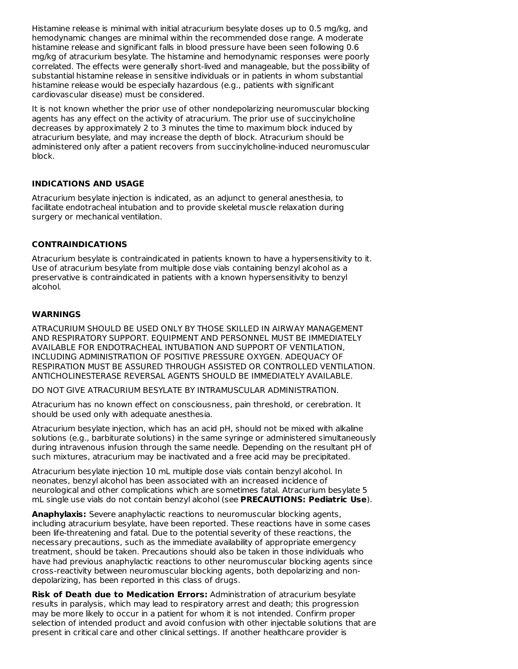Histamine release is minimal with initial atracurium besylate doses up to 0.5 mg/kg, and hemodynamic changes are minimal within the recommended dose range. A moderate histamine release and significant falls in blood pressure have been seen following 0.6 mg/kg of atracurium besylate. The histamine and hemodynamic responses were poorly correlated. The effects were generally short-lived and manageable, but the possibility of substantial histamine release in sensitive individuals or in patients in whom substantial histamine release would be especially hazardous (e.g., patients with significant cardiovascular disease) must be considered.

It is not known whether the prior use of other nondepolarizing neuromuscular blocking agents has any effect on the activity of atracurium. The prior use of succinylcholine decreases by approximately 2 to 3 minutes the time to maximum block induced by atracurium besylate, and may increase the depth of block. Atracurium should be administered only after a patient recovers from succinylcholine-induced neuromuscular block.

## **INDICATIONS AND USAGE**

Atracurium besylate injection is indicated, as an adjunct to general anesthesia, to facilitate endotracheal intubation and to provide skeletal muscle relaxation during surgery or mechanical ventilation.

# **CONTRAINDICATIONS**

Atracurium besylate is contraindicated in patients known to have a hypersensitivity to it. Use of atracurium besylate from multiple dose vials containing benzyl alcohol as a preservative is contraindicated in patients with a known hypersensitivity to benzyl alcohol.

## **WARNINGS**

ATRACURIUM SHOULD BE USED ONLY BY THOSE SKILLED IN AIRWAY MANAGEMENT AND RESPIRATORY SUPPORT. EQUIPMENT AND PERSONNEL MUST BE IMMEDIATELY AVAILABLE FOR ENDOTRACHEAL INTUBATION AND SUPPORT OF VENTILATION, INCLUDING ADMINISTRATION OF POSITIVE PRESSURE OXYGEN. ADEQUACY OF RESPIRATION MUST BE ASSURED THROUGH ASSISTED OR CONTROLLED VENTILATION. ANTICHOLINESTERASE REVERSAL AGENTS SHOULD BE IMMEDIATELY AVAILABLE.

DO NOT GIVE ATRACURIUM BESYLATE BY INTRAMUSCULAR ADMINISTRATION.

Atracurium has no known effect on consciousness, pain threshold, or cerebration. It should be used only with adequate anesthesia.

Atracurium besylate injection, which has an acid pH, should not be mixed with alkaline solutions (e.g., barbiturate solutions) in the same syringe or administered simultaneously during intravenous infusion through the same needle. Depending on the resultant pH of such mixtures, atracurium may be inactivated and a free acid may be precipitated.

Atracurium besylate injection 10 mL multiple dose vials contain benzyl alcohol. In neonates, benzyl alcohol has been associated with an increased incidence of neurological and other complications which are sometimes fatal. Atracurium besylate 5 mL single use vials do not contain benzyl alcohol (see **PRECAUTIONS: Pediatric Use**).

**Anaphylaxis:** Severe anaphylactic reactions to neuromuscular blocking agents, including atracurium besylate, have been reported. These reactions have in some cases been life-threatening and fatal. Due to the potential severity of these reactions, the necessary precautions, such as the immediate availability of appropriate emergency treatment, should be taken. Precautions should also be taken in those individuals who have had previous anaphylactic reactions to other neuromuscular blocking agents since cross-reactivity between neuromuscular blocking agents, both depolarizing and nondepolarizing, has been reported in this class of drugs.

**Risk of Death due to Medication Errors:** Administration of atracurium besylate results in paralysis, which may lead to respiratory arrest and death; this progression may be more likely to occur in a patient for whom it is not intended. Confirm proper selection of intended product and avoid confusion with other injectable solutions that are present in critical care and other clinical settings. If another healthcare provider is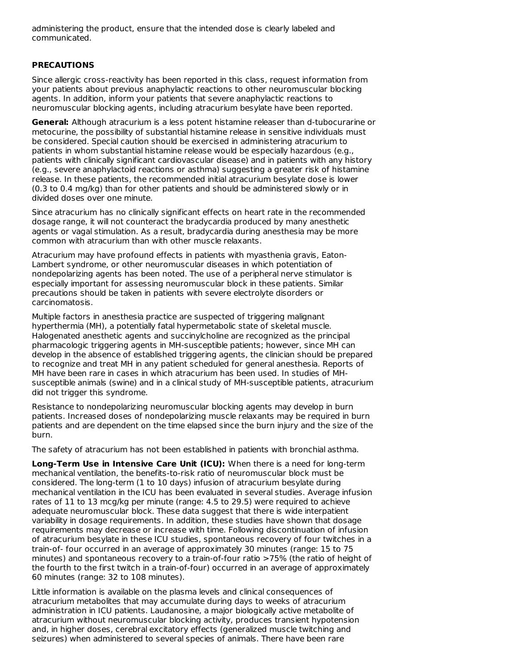administering the product, ensure that the intended dose is clearly labeled and communicated.

#### **PRECAUTIONS**

Since allergic cross-reactivity has been reported in this class, request information from your patients about previous anaphylactic reactions to other neuromuscular blocking agents. In addition, inform your patients that severe anaphylactic reactions to neuromuscular blocking agents, including atracurium besylate have been reported.

**General:** Although atracurium is a less potent histamine releaser than d-tubocurarine or metocurine, the possibility of substantial histamine release in sensitive individuals must be considered. Special caution should be exercised in administering atracurium to patients in whom substantial histamine release would be especially hazardous (e.g., patients with clinically significant cardiovascular disease) and in patients with any history (e.g., severe anaphylactoid reactions or asthma) suggesting a greater risk of histamine release. In these patients, the recommended initial atracurium besylate dose is lower (0.3 to 0.4 mg/kg) than for other patients and should be administered slowly or in divided doses over one minute.

Since atracurium has no clinically significant effects on heart rate in the recommended dosage range, it will not counteract the bradycardia produced by many anesthetic agents or vagal stimulation. As a result, bradycardia during anesthesia may be more common with atracurium than with other muscle relaxants.

Atracurium may have profound effects in patients with myasthenia gravis, Eaton-Lambert syndrome, or other neuromuscular diseases in which potentiation of nondepolarizing agents has been noted. The use of a peripheral nerve stimulator is especially important for assessing neuromuscular block in these patients. Similar precautions should be taken in patients with severe electrolyte disorders or carcinomatosis.

Multiple factors in anesthesia practice are suspected of triggering malignant hyperthermia (MH), a potentially fatal hypermetabolic state of skeletal muscle. Halogenated anesthetic agents and succinylcholine are recognized as the principal pharmacologic triggering agents in MH-susceptible patients; however, since MH can develop in the absence of established triggering agents, the clinician should be prepared to recognize and treat MH in any patient scheduled for general anesthesia. Reports of MH have been rare in cases in which atracurium has been used. In studies of MHsusceptible animals (swine) and in a clinical study of MH-susceptible patients, atracurium did not trigger this syndrome.

Resistance to nondepolarizing neuromuscular blocking agents may develop in burn patients. Increased doses of nondepolarizing muscle relaxants may be required in burn patients and are dependent on the time elapsed since the burn injury and the size of the burn.

The safety of atracurium has not been established in patients with bronchial asthma.

**Long-Term Use in Intensive Care Unit (ICU):** When there is a need for long-term mechanical ventilation, the benefits-to-risk ratio of neuromuscular block must be considered. The long-term (1 to 10 days) infusion of atracurium besylate during mechanical ventilation in the ICU has been evaluated in several studies. Average infusion rates of 11 to 13 mcg/kg per minute (range: 4.5 to 29.5) were required to achieve adequate neuromuscular block. These data suggest that there is wide interpatient variability in dosage requirements. In addition, these studies have shown that dosage requirements may decrease or increase with time. Following discontinuation of infusion of atracurium besylate in these ICU studies, spontaneous recovery of four twitches in a train-of- four occurred in an average of approximately 30 minutes (range: 15 to 75 minutes) and spontaneous recovery to a train-of-four ratio >75% (the ratio of height of the fourth to the first twitch in a train-of-four) occurred in an average of approximately 60 minutes (range: 32 to 108 minutes).

Little information is available on the plasma levels and clinical consequences of atracurium metabolites that may accumulate during days to weeks of atracurium administration in ICU patients. Laudanosine, a major biologically active metabolite of atracurium without neuromuscular blocking activity, produces transient hypotension and, in higher doses, cerebral excitatory effects (generalized muscle twitching and seizures) when administered to several species of animals. There have been rare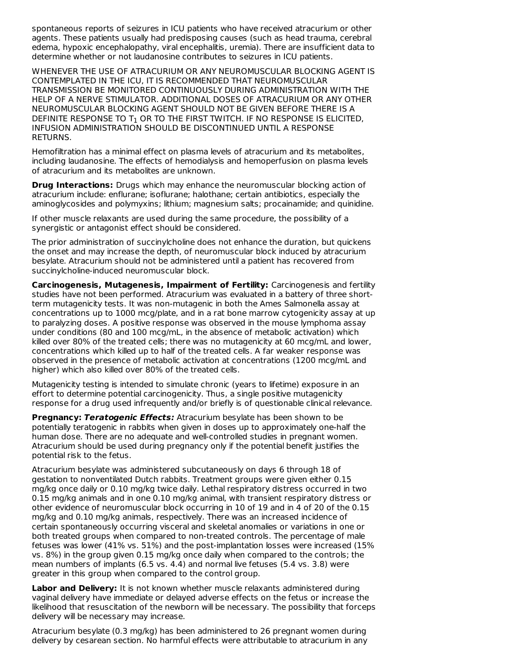spontaneous reports of seizures in ICU patients who have received atracurium or other agents. These patients usually had predisposing causes (such as head trauma, cerebral edema, hypoxic encephalopathy, viral encephalitis, uremia). There are insufficient data to determine whether or not laudanosine contributes to seizures in ICU patients.

WHENEVER THE USE OF ATRACURIUM OR ANY NEUROMUSCULAR BLOCKING AGENT IS CONTEMPLATED IN THE ICU, IT IS RECOMMENDED THAT NEUROMUSCULAR TRANSMISSION BE MONITORED CONTINUOUSLY DURING ADMINISTRATION WITH THE HELP OF A NERVE STIMULATOR. ADDITIONAL DOSES OF ATRACURIUM OR ANY OTHER NEUROMUSCULAR BLOCKING AGENT SHOULD NOT BE GIVEN BEFORE THERE IS A DEFINITE RESPONSE TO  ${\tt T}_1$  or to the first twitch. If no response is elicited, INFUSION ADMINISTRATION SHOULD BE DISCONTINUED UNTIL A RESPONSE RETURNS.

Hemofiltration has a minimal effect on plasma levels of atracurium and its metabolites, including laudanosine. The effects of hemodialysis and hemoperfusion on plasma levels of atracurium and its metabolites are unknown.

**Drug Interactions:** Drugs which may enhance the neuromuscular blocking action of atracurium include: enflurane; isoflurane; halothane; certain antibiotics, especially the aminoglycosides and polymyxins; lithium; magnesium salts; procainamide; and quinidine.

If other muscle relaxants are used during the same procedure, the possibility of a synergistic or antagonist effect should be considered.

The prior administration of succinylcholine does not enhance the duration, but quickens the onset and may increase the depth, of neuromuscular block induced by atracurium besylate. Atracurium should not be administered until a patient has recovered from succinylcholine-induced neuromuscular block.

**Carcinogenesis, Mutagenesis, Impairment of Fertility:** Carcinogenesis and fertility studies have not been performed. Atracurium was evaluated in a battery of three shortterm mutagenicity tests. It was non-mutagenic in both the Ames Salmonella assay at concentrations up to 1000 mcg/plate, and in a rat bone marrow cytogenicity assay at up to paralyzing doses. A positive response was observed in the mouse lymphoma assay under conditions (80 and 100 mcg/mL, in the absence of metabolic activation) which killed over 80% of the treated cells; there was no mutagenicity at 60 mcg/mL and lower, concentrations which killed up to half of the treated cells. A far weaker response was observed in the presence of metabolic activation at concentrations (1200 mcg/mL and higher) which also killed over 80% of the treated cells.

Mutagenicity testing is intended to simulate chronic (years to lifetime) exposure in an effort to determine potential carcinogenicity. Thus, a single positive mutagenicity response for a drug used infrequently and/or briefly is of questionable clinical relevance.

**Pregnancy: Teratogenic Effects:** Atracurium besylate has been shown to be potentially teratogenic in rabbits when given in doses up to approximately one-half the human dose. There are no adequate and well-controlled studies in pregnant women. Atracurium should be used during pregnancy only if the potential benefit justifies the potential risk to the fetus.

Atracurium besylate was administered subcutaneously on days 6 through 18 of gestation to nonventilated Dutch rabbits. Treatment groups were given either 0.15 mg/kg once daily or 0.10 mg/kg twice daily. Lethal respiratory distress occurred in two 0.15 mg/kg animals and in one 0.10 mg/kg animal, with transient respiratory distress or other evidence of neuromuscular block occurring in 10 of 19 and in 4 of 20 of the 0.15 mg/kg and 0.10 mg/kg animals, respectively. There was an increased incidence of certain spontaneously occurring visceral and skeletal anomalies or variations in one or both treated groups when compared to non-treated controls. The percentage of male fetuses was lower (41% vs. 51%) and the post-implantation losses were increased (15% vs. 8%) in the group given 0.15 mg/kg once daily when compared to the controls; the mean numbers of implants (6.5 vs. 4.4) and normal live fetuses (5.4 vs. 3.8) were greater in this group when compared to the control group.

**Labor and Delivery:** It is not known whether muscle relaxants administered during vaginal delivery have immediate or delayed adverse effects on the fetus or increase the likelihood that resuscitation of the newborn will be necessary. The possibility that forceps delivery will be necessary may increase.

Atracurium besylate (0.3 mg/kg) has been administered to 26 pregnant women during delivery by cesarean section. No harmful effects were attributable to atracurium in any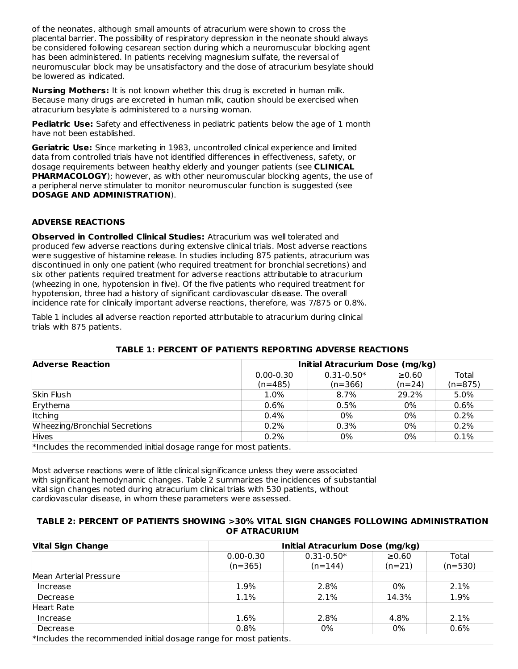of the neonates, although small amounts of atracurium were shown to cross the placental barrier. The possibility of respiratory depression in the neonate should always be considered following cesarean section during which a neuromuscular blocking agent has been administered. In patients receiving magnesium sulfate, the reversal of neuromuscular block may be unsatisfactory and the dose of atracurium besylate should be lowered as indicated.

**Nursing Mothers:** It is not known whether this drug is excreted in human milk. Because many drugs are excreted in human milk, caution should be exercised when atracurium besylate is administered to a nursing woman.

**Pediatric Use:** Safety and effectiveness in pediatric patients below the age of 1 month have not been established.

**Geriatric Use:** Since marketing in 1983, uncontrolled clinical experience and limited data from controlled trials have not identified differences in effectiveness, safety, or dosage requirements between healthy elderly and younger patients (see **CLINICAL PHARMACOLOGY**); however, as with other neuromuscular blocking agents, the use of a peripheral nerve stimulater to monitor neuromuscular function is suggested (see **DOSAGE AND ADMINISTRATION**).

## **ADVERSE REACTIONS**

**Observed in Controlled Clinical Studies:** Atracurium was well tolerated and produced few adverse reactions during extensive clinical trials. Most adverse reactions were suggestive of histamine release. In studies including 875 patients, atracurium was discontinued in only one patient (who required treatment for bronchial secretions) and six other patients required treatment for adverse reactions attributable to atracurium (wheezing in one, hypotension in five). Of the five patients who required treatment for hypotension, three had a history of significant cardiovascular disease. The overall incidence rate for clinically important adverse reactions, therefore, was 7/875 or 0.8%.

Table 1 includes all adverse reaction reported attributable to atracurium during clinical trials with 875 patients.

| <b>Adverse Reaction</b>                                              | Initial Atracurium Dose (mg/kg) |                |             |           |  |  |
|----------------------------------------------------------------------|---------------------------------|----------------|-------------|-----------|--|--|
|                                                                      | $0.00 - 0.30$                   | $0.31 - 0.50*$ | $\geq 0.60$ | Total     |  |  |
|                                                                      | $(n=485)$                       | $(n=366)$      | $(n=24)$    | $(n=875)$ |  |  |
| Skin Flush                                                           | 1.0%                            | $8.7\%$        | 29.2%       | 5.0%      |  |  |
| Erythema                                                             | $0.6\%$                         | 0.5%           | 0%          | 0.6%      |  |  |
| Itching                                                              | $0.4\%$                         | $0\%$          | 0%          | 0.2%      |  |  |
| Wheezing/Bronchial Secretions                                        | $0.2\%$                         | 0.3%           | $0\%$       | 0.2%      |  |  |
| <b>Hives</b>                                                         | $0.2\%$                         | 0%             | 0%          | 0.1%      |  |  |
| $*$ Includes the recommended initial dosage range for most patients. |                                 |                |             |           |  |  |

## **TABLE 1: PERCENT OF PATIENTS REPORTING ADVERSE REACTIONS**

Most adverse reactions were of little clinical significance unless they were associated with significant hemodynamic changes. Table 2 summarizes the incidences of substantial vital sign changes noted during atracurium clinical trials with 530 patients, without cardiovascular disease, in whom these parameters were assessed.

#### **TABLE 2: PERCENT OF PATIENTS SHOWING >30% VITAL SIGN CHANGES FOLLOWING ADMINISTRATION OF ATRACURIUM**

| <b>Vital Sign Change</b>                                          | Initial Atracurium Dose (mg/kg) |                |          |           |  |  |  |
|-------------------------------------------------------------------|---------------------------------|----------------|----------|-----------|--|--|--|
|                                                                   | $0.00 - 0.30$                   | $0.31 - 0.50*$ | ≥0.60    | Total     |  |  |  |
|                                                                   | $(n=365)$                       | $(n=144)$      | $(n=21)$ | $(n=530)$ |  |  |  |
| Mean Arterial Pressure                                            |                                 |                |          |           |  |  |  |
| Increase                                                          | 1.9%                            | 2.8%           | 0%       | 2.1%      |  |  |  |
| Decrease                                                          | 1.1%                            | 2.1%           | 14.3%    | 1.9%      |  |  |  |
| <b>Heart Rate</b>                                                 |                                 |                |          |           |  |  |  |
| Increase                                                          | 1.6%                            | 2.8%           | 4.8%     | 2.1%      |  |  |  |
| Decrease                                                          | 0.8%                            | 0%             | 0%       | 0.6%      |  |  |  |
| *Includes the recommended initial dosage range for most patients. |                                 |                |          |           |  |  |  |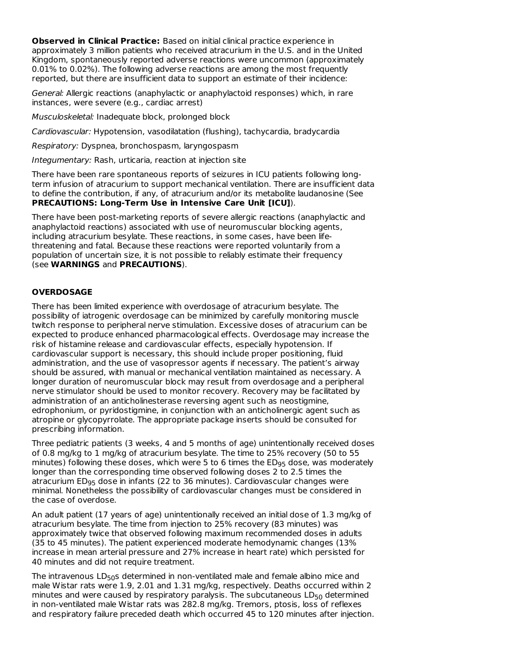**Observed in Clinical Practice:** Based on initial clinical practice experience in approximately 3 million patients who received atracurium in the U.S. and in the United Kingdom, spontaneously reported adverse reactions were uncommon (approximately 0.01% to 0.02%). The following adverse reactions are among the most frequently reported, but there are insufficient data to support an estimate of their incidence:

General: Allergic reactions (anaphylactic or anaphylactoid responses) which, in rare instances, were severe (e.g., cardiac arrest)

Musculoskeletal: Inadequate block, prolonged block

Cardiovascular: Hypotension, vasodilatation (flushing), tachycardia, bradycardia

Respiratory: Dyspnea, bronchospasm, laryngospasm

Integumentary: Rash, urticaria, reaction at injection site

There have been rare spontaneous reports of seizures in ICU patients following longterm infusion of atracurium to support mechanical ventilation. There are insufficient data to define the contribution, if any, of atracurium and/or its metabolite laudanosine (See **PRECAUTIONS: Long-Term Use in Intensive Care Unit [ICU]**).

There have been post-marketing reports of severe allergic reactions (anaphylactic and anaphylactoid reactions) associated with use of neuromuscular blocking agents, including atracurium besylate. These reactions, in some cases, have been lifethreatening and fatal. Because these reactions were reported voluntarily from a population of uncertain size, it is not possible to reliably estimate their frequency (see **WARNINGS** and **PRECAUTIONS**).

## **OVERDOSAGE**

There has been limited experience with overdosage of atracurium besylate. The possibility of iatrogenic overdosage can be minimized by carefully monitoring muscle twitch response to peripheral nerve stimulation. Excessive doses of atracurium can be expected to produce enhanced pharmacological effects. Overdosage may increase the risk of histamine release and cardiovascular effects, especially hypotension. If cardiovascular support is necessary, this should include proper positioning, fluid administration, and the use of vasopressor agents if necessary. The patient's airway should be assured, with manual or mechanical ventilation maintained as necessary. A longer duration of neuromuscular block may result from overdosage and a peripheral nerve stimulator should be used to monitor recovery. Recovery may be facilitated by administration of an anticholinesterase reversing agent such as neostigmine, edrophonium, or pyridostigmine, in conjunction with an anticholinergic agent such as atropine or glycopyrrolate. The appropriate package inserts should be consulted for prescribing information.

Three pediatric patients (3 weeks, 4 and 5 months of age) unintentionally received doses of 0.8 mg/kg to 1 mg/kg of atracurium besylate. The time to 25% recovery (50 to 55 minutes) following these doses, which were 5 to 6 times the  $\mathsf{ED}_{95}$  dose, was moderately longer than the corresponding time observed following doses 2 to 2.5 times the atracurium ED<sub>95</sub> dose in infants (22 to 36 minutes). Cardiovascular changes were minimal. Nonetheless the possibility of cardiovascular changes must be considered in the case of overdose.

An adult patient (17 years of age) unintentionally received an initial dose of 1.3 mg/kg of atracurium besylate. The time from injection to 25% recovery (83 minutes) was approximately twice that observed following maximum recommended doses in adults (35 to 45 minutes). The patient experienced moderate hemodynamic changes (13% increase in mean arterial pressure and 27% increase in heart rate) which persisted for 40 minutes and did not require treatment.

The intravenous  $\mathsf{LD}_{50}\mathsf{s}$  determined in non-ventilated male and female albino mice and male Wistar rats were 1.9, 2.01 and 1.31 mg/kg, respectively. Deaths occurred within 2 minutes and were caused by respiratory paralysis. The subcutaneous  $\mathsf{LD}_{50}$  determined in non-ventilated male Wistar rats was 282.8 mg/kg. Tremors, ptosis, loss of reflexes and respiratory failure preceded death which occurred 45 to 120 minutes after injection.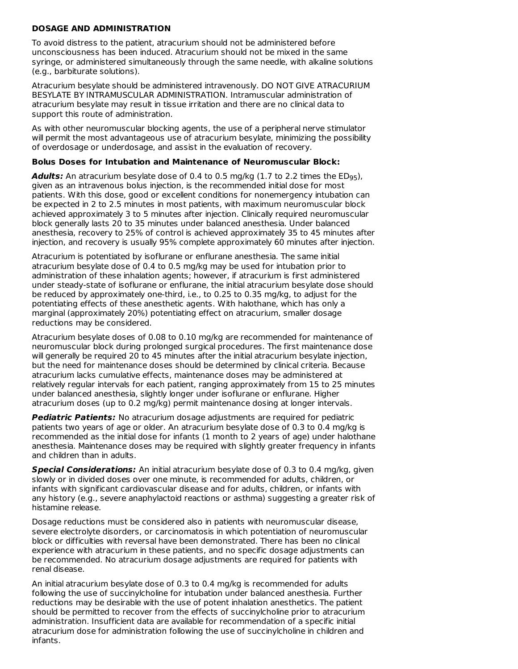## **DOSAGE AND ADMINISTRATION**

To avoid distress to the patient, atracurium should not be administered before unconsciousness has been induced. Atracurium should not be mixed in the same syringe, or administered simultaneously through the same needle, with alkaline solutions (e.g., barbiturate solutions).

Atracurium besylate should be administered intravenously. DO NOT GIVE ATRACURIUM BESYLATE BY INTRAMUSCULAR ADMINISTRATION. Intramuscular administration of atracurium besylate may result in tissue irritation and there are no clinical data to support this route of administration.

As with other neuromuscular blocking agents, the use of a peripheral nerve stimulator will permit the most advantageous use of atracurium besylate, minimizing the possibility of overdosage or underdosage, and assist in the evaluation of recovery.

#### **Bolus Doses for Intubation and Maintenance of Neuromuscular Block:**

**Adults:** An atracurium besylate dose of 0.4 to 0.5 mg/kg (1.7 to 2.2 times the ED<sub>95</sub>), given as an intravenous bolus injection, is the recommended initial dose for most patients. With this dose, good or excellent conditions for nonemergency intubation can be expected in 2 to 2.5 minutes in most patients, with maximum neuromuscular block achieved approximately 3 to 5 minutes after injection. Clinically required neuromuscular block generally lasts 20 to 35 minutes under balanced anesthesia. Under balanced anesthesia, recovery to 25% of control is achieved approximately 35 to 45 minutes after injection, and recovery is usually 95% complete approximately 60 minutes after injection.

Atracurium is potentiated by isoflurane or enflurane anesthesia. The same initial atracurium besylate dose of 0.4 to 0.5 mg/kg may be used for intubation prior to administration of these inhalation agents; however, if atracurium is first administered under steady-state of isoflurane or enflurane, the initial atracurium besylate dose should be reduced by approximately one-third, i.e., to 0.25 to 0.35 mg/kg, to adjust for the potentiating effects of these anesthetic agents. With halothane, which has only a marginal (approximately 20%) potentiating effect on atracurium, smaller dosage reductions may be considered.

Atracurium besylate doses of 0.08 to 0.10 mg/kg are recommended for maintenance of neuromuscular block during prolonged surgical procedures. The first maintenance dose will generally be required 20 to 45 minutes after the initial atracurium besylate injection, but the need for maintenance doses should be determined by clinical criteria. Because atracurium lacks cumulative effects, maintenance doses may be administered at relatively regular intervals for each patient, ranging approximately from 15 to 25 minutes under balanced anesthesia, slightly longer under isoflurane or enflurane. Higher atracurium doses (up to 0.2 mg/kg) permit maintenance dosing at longer intervals.

**Pediatric Patients:** No atracurium dosage adjustments are required for pediatric patients two years of age or older. An atracurium besylate dose of 0.3 to 0.4 mg/kg is recommended as the initial dose for infants (1 month to 2 years of age) under halothane anesthesia. Maintenance doses may be required with slightly greater frequency in infants and children than in adults.

**Special Considerations:** An initial atracurium besylate dose of 0.3 to 0.4 mg/kg, given slowly or in divided doses over one minute, is recommended for adults, children, or infants with significant cardiovascular disease and for adults, children, or infants with any history (e.g., severe anaphylactoid reactions or asthma) suggesting a greater risk of histamine release.

Dosage reductions must be considered also in patients with neuromuscular disease, severe electrolyte disorders, or carcinomatosis in which potentiation of neuromuscular block or difficulties with reversal have been demonstrated. There has been no clinical experience with atracurium in these patients, and no specific dosage adjustments can be recommended. No atracurium dosage adjustments are required for patients with renal disease.

An initial atracurium besylate dose of 0.3 to 0.4 mg/kg is recommended for adults following the use of succinylcholine for intubation under balanced anesthesia. Further reductions may be desirable with the use of potent inhalation anesthetics. The patient should be permitted to recover from the effects of succinylcholine prior to atracurium administration. Insufficient data are available for recommendation of a specific initial atracurium dose for administration following the use of succinylcholine in children and infants.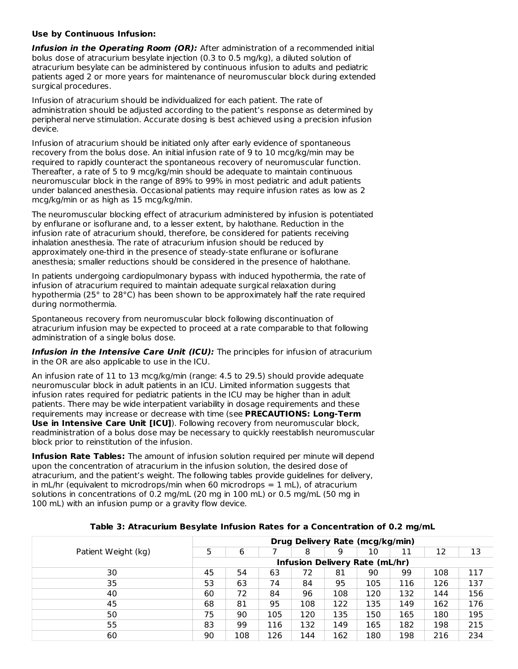#### **Use by Continuous Infusion:**

**Infusion in the Operating Room (OR):** After administration of a recommended initial bolus dose of atracurium besylate injection (0.3 to 0.5 mg/kg), a diluted solution of atracurium besylate can be administered by continuous infusion to adults and pediatric patients aged 2 or more years for maintenance of neuromuscular block during extended surgical procedures.

Infusion of atracurium should be individualized for each patient. The rate of administration should be adjusted according to the patient's response as determined by peripheral nerve stimulation. Accurate dosing is best achieved using a precision infusion device.

Infusion of atracurium should be initiated only after early evidence of spontaneous recovery from the bolus dose. An initial infusion rate of 9 to 10 mcg/kg/min may be required to rapidly counteract the spontaneous recovery of neuromuscular function. Thereafter, a rate of 5 to 9 mcg/kg/min should be adequate to maintain continuous neuromuscular block in the range of 89% to 99% in most pediatric and adult patients under balanced anesthesia. Occasional patients may require infusion rates as low as 2 mcg/kg/min or as high as 15 mcg/kg/min.

The neuromuscular blocking effect of atracurium administered by infusion is potentiated by enflurane or isoflurane and, to a lesser extent, by halothane. Reduction in the infusion rate of atracurium should, therefore, be considered for patients receiving inhalation anesthesia. The rate of atracurium infusion should be reduced by approximately one-third in the presence of steady-state enflurane or isoflurane anesthesia; smaller reductions should be considered in the presence of halothane.

In patients undergoing cardiopulmonary bypass with induced hypothermia, the rate of infusion of atracurium required to maintain adequate surgical relaxation during hypothermia (25° to 28°C) has been shown to be approximately half the rate required during normothermia.

Spontaneous recovery from neuromuscular block following discontinuation of atracurium infusion may be expected to proceed at a rate comparable to that following administration of a single bolus dose.

**Infusion in the Intensive Care Unit (ICU):** The principles for infusion of atracurium in the OR are also applicable to use in the ICU.

An infusion rate of 11 to 13 mcg/kg/min (range: 4.5 to 29.5) should provide adequate neuromuscular block in adult patients in an ICU. Limited information suggests that infusion rates required for pediatric patients in the ICU may be higher than in adult patients. There may be wide interpatient variability in dosage requirements and these requirements may increase or decrease with time (see **PRECAUTIONS: Long-Term Use in Intensive Care Unit [ICU]**). Following recovery from neuromuscular block, readministration of a bolus dose may be necessary to quickly reestablish neuromuscular block prior to reinstitution of the infusion.

**Infusion Rate Tables:** The amount of infusion solution required per minute will depend upon the concentration of atracurium in the infusion solution, the desired dose of atracurium, and the patient's weight. The following tables provide guidelines for delivery, in mL/hr (equivalent to microdrops/min when 60 microdrops  $= 1$  mL), of atracurium solutions in concentrations of 0.2 mg/mL (20 mg in 100 mL) or 0.5 mg/mL (50 mg in 100 mL) with an infusion pump or a gravity flow device.

| Table 3: Atracurium Besylate Infusion Rates for a Concentration of 0.2 mg/mL |
|------------------------------------------------------------------------------|
| Dura Delizemz Dete (meallzelmin)                                             |

|                     |                                       | Drug Delivery Rate (mcg/kg/min) |     |     |     |     |     |     |     |
|---------------------|---------------------------------------|---------------------------------|-----|-----|-----|-----|-----|-----|-----|
| Patient Weight (kg) | 5                                     | 6                               |     | 8   | 9   | 10  | 11  | 12  | 13  |
|                     | <b>Infusion Delivery Rate (mL/hr)</b> |                                 |     |     |     |     |     |     |     |
| 30                  | 45                                    | 54                              | 63  | 72  | 81  | 90  | 99  | 108 | 117 |
| 35                  | 53                                    | 63                              | 74  | 84  | 95  | 105 | 116 | 126 | 137 |
| 40                  | 60                                    | 72                              | 84  | 96  | 108 | 120 | 132 | 144 | 156 |
| 45                  | 68                                    | 81                              | 95  | 108 | 122 | 135 | 149 | 162 | 176 |
| 50                  | 75                                    | 90                              | 105 | 120 | 135 | 150 | 165 | 180 | 195 |
| 55                  | 83                                    | 99                              | 116 | 132 | 149 | 165 | 182 | 198 | 215 |
| 60                  | 90                                    | 108                             | 126 | 144 | 162 | 180 | 198 | 216 | 234 |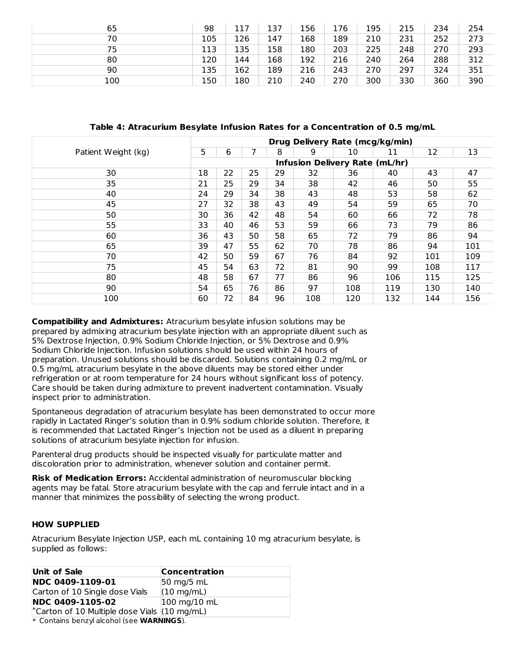| 65  | 98  | 117 | 137 | 156 | 176 | 195 | 215 | 234 | 254 |
|-----|-----|-----|-----|-----|-----|-----|-----|-----|-----|
| 70  | 105 | 126 | 147 | 168 | 189 | 210 | 231 | 252 | 273 |
| 75  | 113 | 135 | 158 | 180 | 203 | 225 | 248 | 270 | 293 |
| 80  | 120 | 144 | 168 | 192 | 216 | 240 | 264 | 288 | 312 |
| 90  | 135 | 162 | 189 | 216 | 243 | 270 | 297 | 324 | 351 |
| 100 | 150 | 180 | 210 | 240 | 270 | 300 | 330 | 360 | 390 |

**Table 4: Atracurium Besylate Infusion Rates for a Concentration of 0.5 mg/mL**

|                     | Drug Delivery Rate (mcg/kg/min) |    |    |    |                                       |     |     |     |     |
|---------------------|---------------------------------|----|----|----|---------------------------------------|-----|-----|-----|-----|
| Patient Weight (kg) | 5                               | 6  |    | 8  | 9                                     | 10  | 11  | 12  | 13  |
|                     |                                 |    |    |    | <b>Infusion Delivery Rate (mL/hr)</b> |     |     |     |     |
| 30                  | 18                              | 22 | 25 | 29 | 32                                    | 36  | 40  | 43  | 47  |
| 35                  | 21                              | 25 | 29 | 34 | 38                                    | 42  | 46  | 50  | 55  |
| 40                  | 24                              | 29 | 34 | 38 | 43                                    | 48  | 53  | 58  | 62  |
| 45                  | 27                              | 32 | 38 | 43 | 49                                    | 54  | 59  | 65  | 70  |
| 50                  | 30                              | 36 | 42 | 48 | 54                                    | 60  | 66  | 72  | 78  |
| 55                  | 33                              | 40 | 46 | 53 | 59                                    | 66  | 73  | 79  | 86  |
| 60                  | 36                              | 43 | 50 | 58 | 65                                    | 72  | 79  | 86  | 94  |
| 65                  | 39                              | 47 | 55 | 62 | 70                                    | 78  | 86  | 94  | 101 |
| 70                  | 42                              | 50 | 59 | 67 | 76                                    | 84  | 92  | 101 | 109 |
| 75                  | 45                              | 54 | 63 | 72 | 81                                    | 90  | 99  | 108 | 117 |
| 80                  | 48                              | 58 | 67 | 77 | 86                                    | 96  | 106 | 115 | 125 |
| 90                  | 54                              | 65 | 76 | 86 | 97                                    | 108 | 119 | 130 | 140 |
| 100                 | 60                              | 72 | 84 | 96 | 108                                   | 120 | 132 | 144 | 156 |

**Compatibility and Admixtures:** Atracurium besylate infusion solutions may be prepared by admixing atracurium besylate injection with an appropriate diluent such as 5% Dextrose Injection, 0.9% Sodium Chloride Injection, or 5% Dextrose and 0.9% Sodium Chloride Injection. Infusion solutions should be used within 24 hours of preparation. Unused solutions should be discarded. Solutions containing 0.2 mg/mL or 0.5 mg/mL atracurium besylate in the above diluents may be stored either under refrigeration or at room temperature for 24 hours without significant loss of potency. Care should be taken during admixture to prevent inadvertent contamination. Visually inspect prior to administration.

Spontaneous degradation of atracurium besylate has been demonstrated to occur more rapidly in Lactated Ringer's solution than in 0.9% sodium chloride solution. Therefore, it is recommended that Lactated Ringer's Injection not be used as a diluent in preparing solutions of atracurium besylate injection for infusion.

Parenteral drug products should be inspected visually for particulate matter and discoloration prior to administration, whenever solution and container permit.

**Risk of Medication Errors:** Accidental administration of neuromuscular blocking agents may be fatal. Store atracurium besylate with the cap and ferrule intact and in a manner that minimizes the possibility of selecting the wrong product.

# **HOW SUPPLIED**

Atracurium Besylate Injection USP, each mL containing 10 mg atracurium besylate, is supplied as follows:

| Unit of Sale                                                       | Concentration                  |
|--------------------------------------------------------------------|--------------------------------|
| NDC 0409-1109-01                                                   | $50 \text{ mg}/5 \text{ mL}$   |
| Carton of 10 Single dose Vials                                     | $(10 \text{ mg/mL})$           |
| <b>NDC 0409-1105-02</b>                                            | $100 \text{ mg}/10 \text{ mL}$ |
| <sup>*</sup> Carton of 10 Multiple dose Vials $(10 \text{ mg/mL})$ |                                |

\* Contains benzyl alcohol (see **WARNINGS**).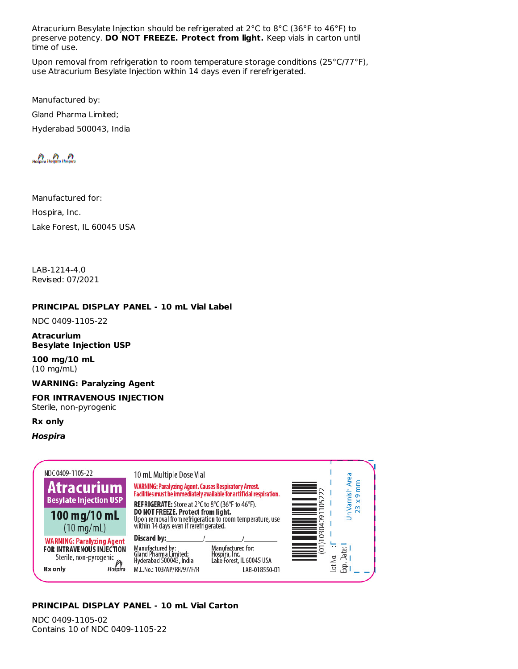Atracurium Besylate Injection should be refrigerated at 2°C to 8°C (36°F to 46°F) to preserve potency. **DO NOT FREEZE. Protect from light.** Keep vials in carton until time of use.

Upon removal from refrigeration to room temperature storage conditions (25°C/77°F), use Atracurium Besylate Injection within 14 days even if rerefrigerated.

Manufactured by: Gland Pharma Limited; Hyderabad 500043, India

Manufactured for: Hospira, Inc. Lake Forest, IL 60045 USA

LAB-1214-4.0 Revised: 07/2021

## **PRINCIPAL DISPLAY PANEL - 10 mL Vial Label**

NDC 0409-1105-22

#### **Atracurium Besylate Injection USP**

**100 mg/10 mL** (10 mg/mL)

#### **WARNING: Paralyzing Agent**

# **FOR INTRAVENOUS INJECTION**

Sterile, non-pyrogenic

#### **Rx only**

#### **Hospira**

| NDC 0409-1105-22<br><b>Atracurium</b><br><b>Besylate Injection USP</b><br>100 mg/10 mL<br>$(10 \text{ mg/mL})$              | 10 mL Multiple Dose Vial<br>WARNING: Paralyzing Agent. Causes Respiratory Arrest.<br>Facilities must be immediately available for artificial respiration.<br><b>REFRIGERATE:</b> Store at 2°C to 8°C (36°F to 46°F).<br>DO NOT FREEZE. Protect from light.<br>Upon removal from refrigeration to room temperature, use<br>within 14 days even if rerefrigerated. | Un Varnish Area<br>mm<br>x9<br>5<br>23<br>ᡡ<br>0                    |
|-----------------------------------------------------------------------------------------------------------------------------|------------------------------------------------------------------------------------------------------------------------------------------------------------------------------------------------------------------------------------------------------------------------------------------------------------------------------------------------------------------|---------------------------------------------------------------------|
| <b>WARNING: Paralyzing Agent</b><br><b>FOR INTRAVENOUS INJECTION</b><br>Sterile, non-pyrogenic<br><b>Rx</b> only<br>Hospira | Discard by:____<br>Manufactured for:<br>Manufactured by:<br>Gland Pharma Limited;<br>Hyderabad 500043, India<br>Hospira, Inc.<br>Lake Forest, IL 60045 USA<br>M.L.No.: 103/AP/RR/97/F/R<br>LAB-018550-01                                                                                                                                                         | $\sim$<br>0<br>0<br>යි<br>ے<br>ح<br>$\overline{\mathsf{d}}$<br>Exp. |

# **PRINCIPAL DISPLAY PANEL - 10 mL Vial Carton**

NDC 0409-1105-02 Contains 10 of NDC 0409-1105-22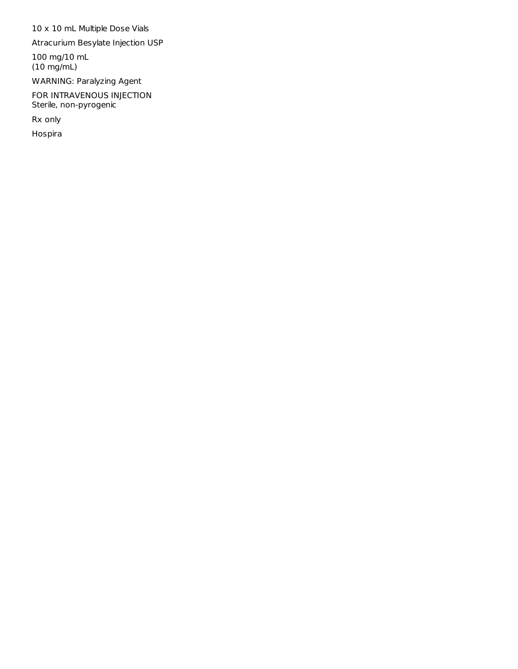10 x 10 mL Multiple Dose Vials

Atracurium Besylate Injection USP

100 mg/10 mL (10 mg/mL)

WARNING: Paralyzing Agent

FOR INTRAVENOUS INJECTION Sterile, non-pyrogenic

Rx only

Hospira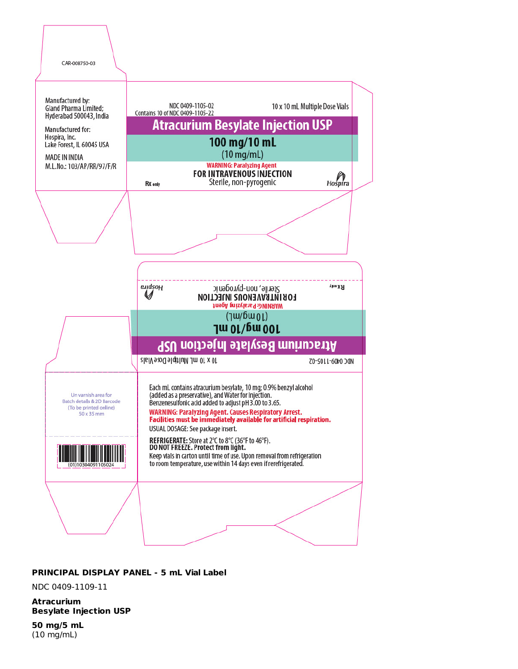

#### **PRINCIPAL DISPLAY PANEL - 5 mL Vial Label**

#### NDC 0409-1109-11

**Atracurium Besylate Injection USP**

**50 mg/5 mL** (10 mg/mL)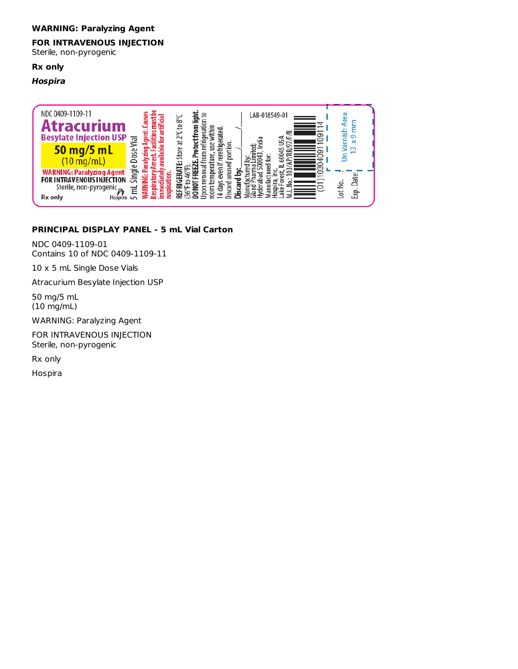#### **WARNING: Paralyzing Agent**

# **FOR INTRAVENOUS INJECTION**

Sterile, non-pyrogenic

## **Rx only**

## **Hospira**

![](_page_13_Figure_5.jpeg)

# **PRINCIPAL DISPLAY PANEL - 5 mL Vial Carton**

NDC 0409-1109-01 Contains 10 of NDC 0409-1109-11

10 x 5 mL Single Dose Vials

Atracurium Besylate Injection USP

50 mg/5 mL (10 mg/mL)

WARNING: Paralyzing Agent

FOR INTRAVENOUS INJECTION Sterile, non-pyrogenic

Rx only

Hospira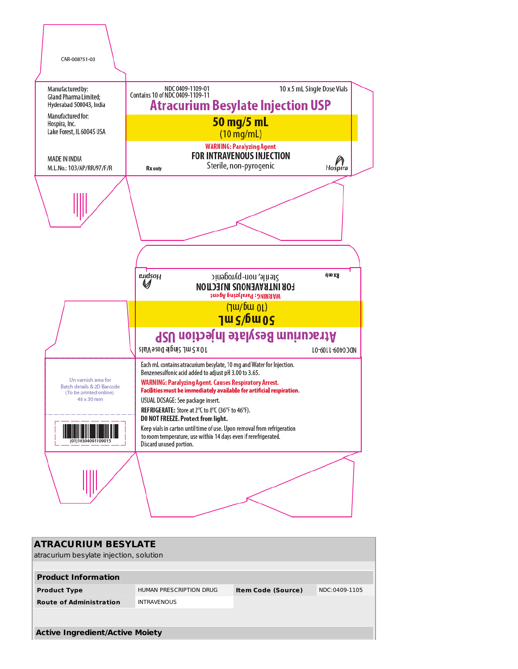![](_page_14_Figure_0.jpeg)

| <b>ATRACURIUM BESYLATE</b>              |                         |                           |               |  |  |  |
|-----------------------------------------|-------------------------|---------------------------|---------------|--|--|--|
| atracurium besylate injection, solution |                         |                           |               |  |  |  |
|                                         |                         |                           |               |  |  |  |
| <b>Product Information</b>              |                         |                           |               |  |  |  |
| <b>Product Type</b>                     | HUMAN PRESCRIPTION DRUG | <b>Item Code (Source)</b> | NDC:0409-1105 |  |  |  |
| <b>Route of Administration</b>          | <b>INTRAVENOUS</b>      |                           |               |  |  |  |
|                                         |                         |                           |               |  |  |  |
|                                         |                         |                           |               |  |  |  |
| <b>Active Ingredient/Active Moiety</b>  |                         |                           |               |  |  |  |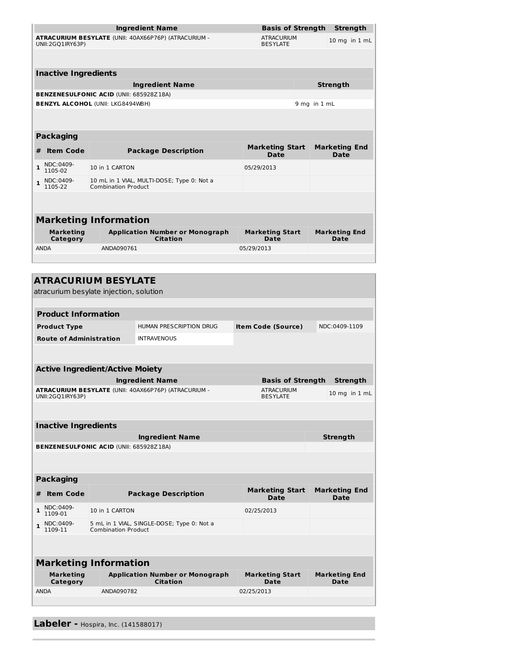| UNII:2GQ1IRY63P)                                                                                                                                                                                                                                   | Ingredient Name              |                                                                     |                                                       | <b>Basis of Strength</b><br>Strength  |              |                              |  |  |
|----------------------------------------------------------------------------------------------------------------------------------------------------------------------------------------------------------------------------------------------------|------------------------------|---------------------------------------------------------------------|-------------------------------------------------------|---------------------------------------|--------------|------------------------------|--|--|
|                                                                                                                                                                                                                                                    |                              | ATRACURIUM BESYLATE (UNII: 40AX66P76P) (ATRACURIUM -                | <b>ATRACURIUM</b><br>10 mg in 1 mL<br><b>BESYLATE</b> |                                       |              |                              |  |  |
|                                                                                                                                                                                                                                                    |                              |                                                                     |                                                       |                                       |              |                              |  |  |
| <b>Inactive Ingredients</b>                                                                                                                                                                                                                        |                              |                                                                     |                                                       |                                       |              |                              |  |  |
|                                                                                                                                                                                                                                                    |                              | <b>Ingredient Name</b>                                              |                                                       |                                       |              | <b>Strength</b>              |  |  |
| <b>BENZENESULFONIC ACID (UNII: 685928Z18A)</b>                                                                                                                                                                                                     |                              |                                                                     |                                                       |                                       |              |                              |  |  |
| <b>BENZYL ALCOHOL (UNII: LKG8494WBH)</b>                                                                                                                                                                                                           |                              |                                                                     |                                                       |                                       | 9 mg in 1 mL |                              |  |  |
|                                                                                                                                                                                                                                                    |                              |                                                                     |                                                       |                                       |              |                              |  |  |
| <b>Packaging</b>                                                                                                                                                                                                                                   |                              |                                                                     |                                                       |                                       |              | <b>Marketing End</b>         |  |  |
| <b>Item Code</b><br>#                                                                                                                                                                                                                              |                              | <b>Marketing Start</b><br><b>Package Description</b><br><b>Date</b> |                                                       |                                       |              |                              |  |  |
| NDC:0409-<br>1<br>1105-02                                                                                                                                                                                                                          | 10 in 1 CARTON               |                                                                     | 05/29/2013                                            |                                       |              |                              |  |  |
| NDC:0409-<br>$\mathbf{1}$<br>1105-22                                                                                                                                                                                                               | <b>Combination Product</b>   | 10 mL in 1 VIAL, MULTI-DOSE; Type 0: Not a                          |                                                       |                                       |              |                              |  |  |
|                                                                                                                                                                                                                                                    |                              |                                                                     |                                                       |                                       |              |                              |  |  |
|                                                                                                                                                                                                                                                    | <b>Marketing Information</b> |                                                                     |                                                       |                                       |              |                              |  |  |
| Marketing<br>Category                                                                                                                                                                                                                              |                              | <b>Application Number or Monograph</b><br><b>Citation</b>           |                                                       | <b>Marketing Start</b><br><b>Date</b> |              | <b>Marketing End</b><br>Date |  |  |
| <b>ANDA</b>                                                                                                                                                                                                                                        | ANDA090761                   |                                                                     | 05/29/2013                                            |                                       |              |                              |  |  |
|                                                                                                                                                                                                                                                    |                              |                                                                     |                                                       |                                       |              |                              |  |  |
| <b>Product Information</b>                                                                                                                                                                                                                         |                              |                                                                     |                                                       |                                       |              |                              |  |  |
| <b>Product Type</b>                                                                                                                                                                                                                                |                              | HUMAN PRESCRIPTION DRUG                                             |                                                       | <b>Item Code (Source)</b>             |              | NDC:0409-1109                |  |  |
| <b>Route of Administration</b>                                                                                                                                                                                                                     |                              | <b>INTRAVENOUS</b>                                                  |                                                       |                                       |              |                              |  |  |
|                                                                                                                                                                                                                                                    |                              |                                                                     |                                                       |                                       |              |                              |  |  |
|                                                                                                                                                                                                                                                    |                              |                                                                     |                                                       |                                       |              |                              |  |  |
|                                                                                                                                                                                                                                                    |                              |                                                                     |                                                       |                                       |              |                              |  |  |
|                                                                                                                                                                                                                                                    |                              | <b>Ingredient Name</b>                                              |                                                       | <b>Basis of Strength</b>              |              | Strength                     |  |  |
|                                                                                                                                                                                                                                                    |                              | ATRACURIUM BESYLATE (UNII: 40AX66P76P) (ATRACURIUM -                |                                                       | <b>ATRACURIUM</b><br><b>BESYLATE</b>  |              |                              |  |  |
|                                                                                                                                                                                                                                                    |                              |                                                                     |                                                       |                                       |              | 10 mg in 1 mL                |  |  |
|                                                                                                                                                                                                                                                    |                              |                                                                     |                                                       |                                       |              |                              |  |  |
|                                                                                                                                                                                                                                                    |                              | <b>Ingredient Name</b>                                              |                                                       |                                       |              | Strength                     |  |  |
|                                                                                                                                                                                                                                                    |                              |                                                                     |                                                       |                                       |              |                              |  |  |
|                                                                                                                                                                                                                                                    |                              |                                                                     |                                                       |                                       |              |                              |  |  |
| <b>Item Code</b>                                                                                                                                                                                                                                   |                              | <b>Package Description</b>                                          |                                                       | <b>Marketing Start</b><br>Date        |              | <b>Marketing End</b><br>Date |  |  |
| NDC:0409-<br>1109-01                                                                                                                                                                                                                               | 10 in 1 CARTON               |                                                                     | 02/25/2013                                            |                                       |              |                              |  |  |
| NDC:0409-<br>1109-11                                                                                                                                                                                                                               | <b>Combination Product</b>   | 5 mL in 1 VIAL, SINGLE-DOSE; Type 0: Not a                          |                                                       |                                       |              |                              |  |  |
|                                                                                                                                                                                                                                                    |                              |                                                                     |                                                       |                                       |              |                              |  |  |
|                                                                                                                                                                                                                                                    |                              |                                                                     |                                                       |                                       |              |                              |  |  |
| <b>Active Ingredient/Active Moiety</b><br>UNII:2GQ1IRY63P)<br><b>Inactive Ingredients</b><br><b>BENZENESULFONIC ACID (UNII: 685928Z18A)</b><br><b>Packaging</b><br>#<br>$\mathbf{1}$<br>1<br><b>Marketing Information</b><br>Marketing<br>Category |                              | <b>Application Number or Monograph</b><br><b>Citation</b>           |                                                       | <b>Marketing Start</b><br>Date        |              | <b>Marketing End</b><br>Date |  |  |

**Labeler -** Hospira, Inc. (141588017)